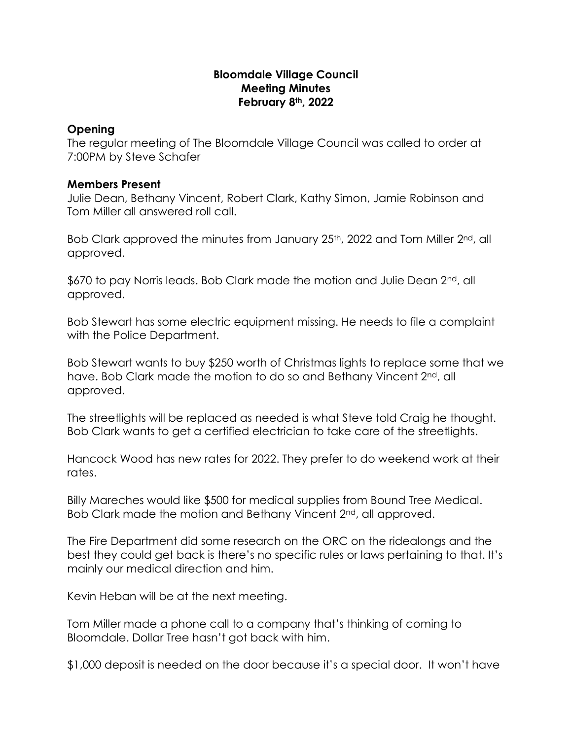## **Bloomdale Village Council Meeting Minutes February 8th, 2022**

## **Opening**

The regular meeting of The Bloomdale Village Council was called to order at 7:00PM by Steve Schafer

## **Members Present**

Julie Dean, Bethany Vincent, Robert Clark, Kathy Simon, Jamie Robinson and Tom Miller all answered roll call.

Bob Clark approved the minutes from January 25<sup>th</sup>, 2022 and Tom Miller 2<sup>nd</sup>, all approved.

\$670 to pay Norris leads. Bob Clark made the motion and Julie Dean 2<sup>nd</sup>, all approved.

Bob Stewart has some electric equipment missing. He needs to file a complaint with the Police Department.

Bob Stewart wants to buy \$250 worth of Christmas lights to replace some that we have. Bob Clark made the motion to do so and Bethany Vincent 2<sup>nd</sup>, all approved.

The streetlights will be replaced as needed is what Steve told Craig he thought. Bob Clark wants to get a certified electrician to take care of the streetlights.

Hancock Wood has new rates for 2022. They prefer to do weekend work at their rates.

Billy Mareches would like \$500 for medical supplies from Bound Tree Medical. Bob Clark made the motion and Bethany Vincent 2<sup>nd</sup>, all approved.

The Fire Department did some research on the ORC on the ridealongs and the best they could get back is there's no specific rules or laws pertaining to that. It's mainly our medical direction and him.

Kevin Heban will be at the next meeting.

Tom Miller made a phone call to a company that's thinking of coming to Bloomdale. Dollar Tree hasn't got back with him.

\$1,000 deposit is needed on the door because it's a special door. It won't have